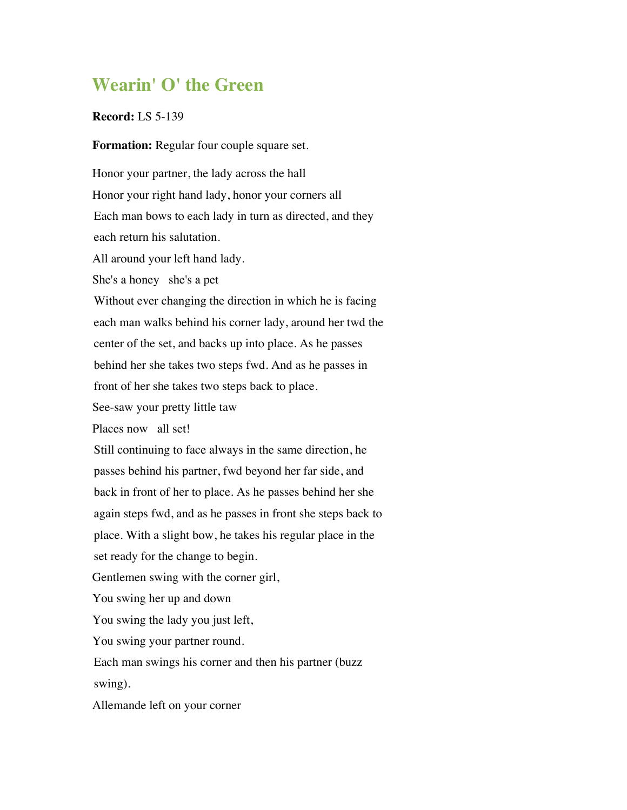## **Wearin' O' the Green**

## **Record:** LS 5-139

**Formation:** Regular four couple square set.

Honor your partner, the lady across the hall Honor your right hand lady, honor your corners all Each man bows to each lady in turn as directed, and they each return his salutation. All around your left hand lady. She's a honey she's a pet Without ever changing the direction in which he is facing each man walks behind his corner lady, around her twd the center of the set, and backs up into place. As he passes behind her she takes two steps fwd. And as he passes in front of her she takes two steps back to place. See-saw your pretty little taw Places now all set! Still continuing to face always in the same direction, he passes behind his partner, fwd beyond her far side, and back in front of her to place. As he passes behind her she again steps fwd, and as he passes in front she steps back to place. With a slight bow, he takes his regular place in the set ready for the change to begin. Gentlemen swing with the corner girl, You swing her up and down You swing the lady you just left, You swing your partner round. Each man swings his corner and then his partner (buzz swing). Allemande left on your corner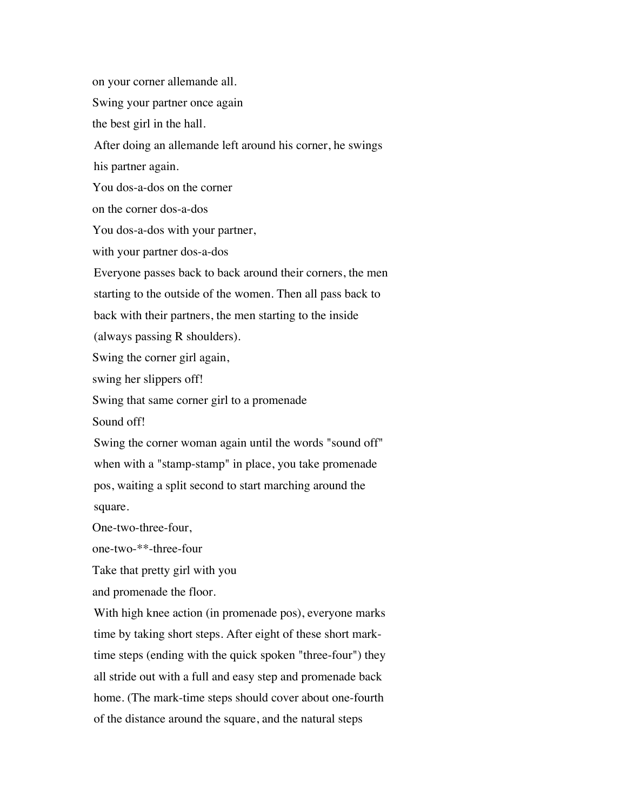on your corner allemande all. Swing your partner once again the best girl in the hall. After doing an allemande left around his corner, he swings his partner again. You dos-a-dos on the corner on the corner dos-a-dos You dos-a-dos with your partner, with your partner dos-a-dos Everyone passes back to back around their corners, the men starting to the outside of the women. Then all pass back to back with their partners, the men starting to the inside (always passing R shoulders). Swing the corner girl again, swing her slippers off! Swing that same corner girl to a promenade Sound off! Swing the corner woman again until the words "sound off" when with a "stamp-stamp" in place, you take promenade pos, waiting a split second to start marching around the square. One-two-three-four, one-two-\*\*-three-four Take that pretty girl with you and promenade the floor. With high knee action (in promenade pos), everyone marks time by taking short steps. After eight of these short marktime steps (ending with the quick spoken "three-four") they all stride out with a full and easy step and promenade back home. (The mark-time steps should cover about one-fourth of the distance around the square, and the natural steps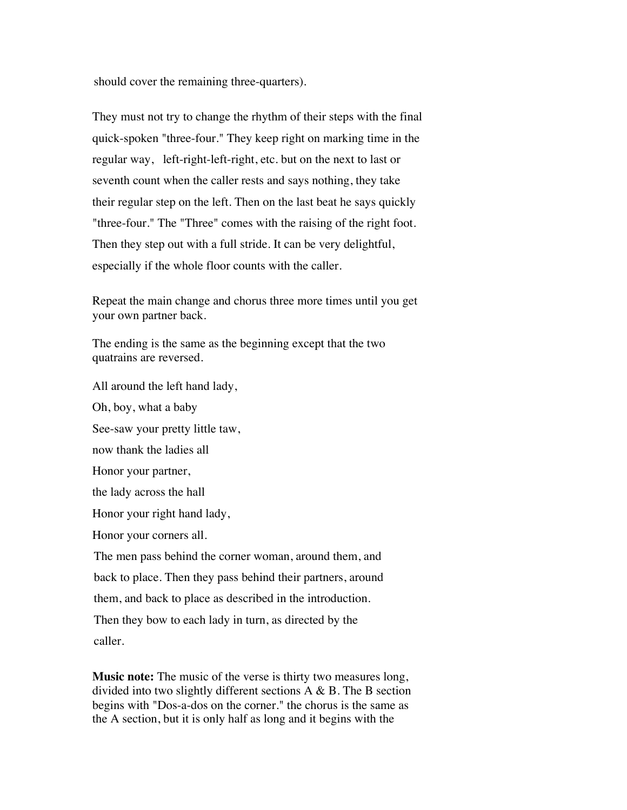should cover the remaining three-quarters).

They must not try to change the rhythm of their steps with the final quick-spoken "three-four." They keep right on marking time in the regular way, left-right-left-right, etc. but on the next to last or seventh count when the caller rests and says nothing, they take their regular step on the left. Then on the last beat he says quickly "three-four." The "Three" comes with the raising of the right foot. Then they step out with a full stride. It can be very delightful, especially if the whole floor counts with the caller.

Repeat the main change and chorus three more times until you get your own partner back.

The ending is the same as the beginning except that the two quatrains are reversed.

All around the left hand lady, Oh, boy, what a baby See-saw your pretty little taw, now thank the ladies all Honor your partner, the lady across the hall Honor your right hand lady, Honor your corners all. The men pass behind the corner woman, around them, and back to place. Then they pass behind their partners, around them, and back to place as described in the introduction. Then they bow to each lady in turn, as directed by the caller.

**Music note:** The music of the verse is thirty two measures long, divided into two slightly different sections A & B. The B section begins with "Dos-a-dos on the corner." the chorus is the same as the A section, but it is only half as long and it begins with the